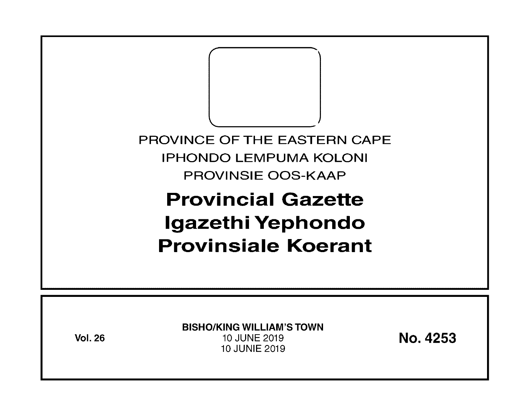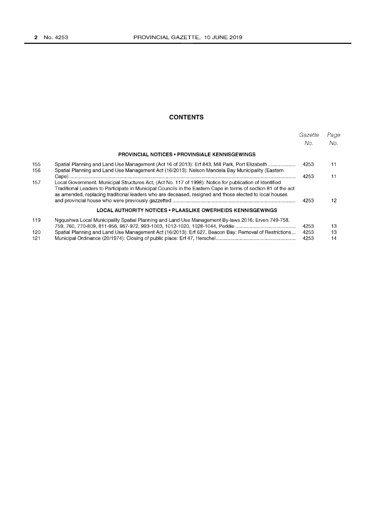### **CONTENTS**

|            |                                                                                                                                                                                                                                                                                                                                     | Gazette<br>No. | Page<br>No. |
|------------|-------------------------------------------------------------------------------------------------------------------------------------------------------------------------------------------------------------------------------------------------------------------------------------------------------------------------------------|----------------|-------------|
|            | <b>PROVINCIAL NOTICES • PROVINSIALE KENNISGEWINGS</b>                                                                                                                                                                                                                                                                               |                |             |
| 155<br>156 | Spatial Planning and Land Use Management (Act 16 of 2013): Erf 843, Mill Park, Port Elizabeth<br>Spatial Planning and Land Use Management Act (16/2013): Nelson Mandela Bay Municipality (Eastern                                                                                                                                   | 4253           | 11          |
|            |                                                                                                                                                                                                                                                                                                                                     | 4253           | 11          |
| 157        | Local Government: Municipal Structures Act. (Act No. 117 of 1998): Notice for publication of Identified<br>Traditional Leaders to Participate in Municipal Councils in the Eastern Cape in terms of section 81 of the act<br>as amended, replacing traditional leaders who are deceased, resigned and those elected to local houses | 4253           | 12          |
|            | LOCAL AUTHORITY NOTICES • PLAASLIKE OWERHEIDS KENNISGEWINGS                                                                                                                                                                                                                                                                         |                |             |
| 119        | Nggushwa Local Municipality Spatial Planning and Land Use Management By-laws 2016: Erven 749-758.                                                                                                                                                                                                                                   |                |             |
|            |                                                                                                                                                                                                                                                                                                                                     | 4253           | 13          |
| 120        | Spatial Planning and Land Use Management Act (16/2013): Erf 627, Beacon Bay: Removal of Restrictions                                                                                                                                                                                                                                | 4253           | 13          |
| 121        |                                                                                                                                                                                                                                                                                                                                     | 4253           | 14          |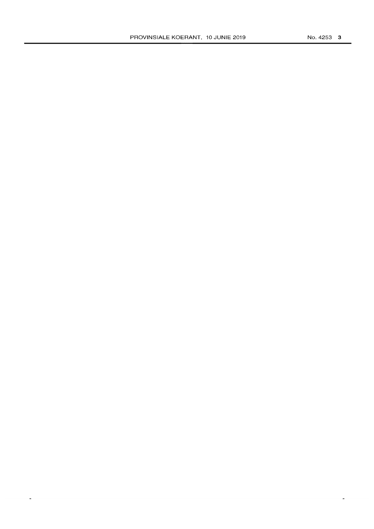$\ddot{\phantom{a}}$ 

 $\overline{\phantom{a}}$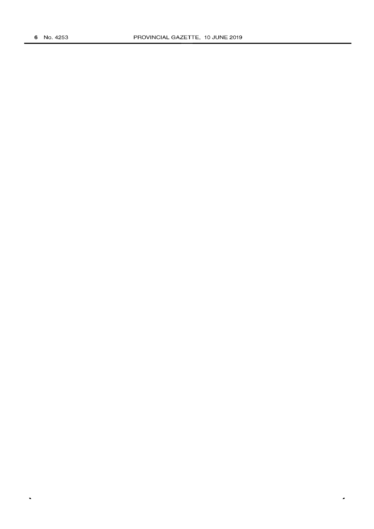$\hat{\mathbf{z}}$ 

 $\pmb{s}$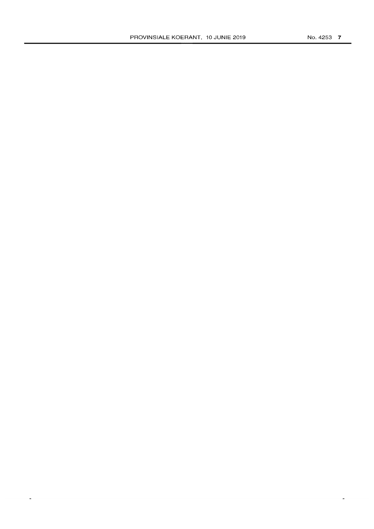$\Box$ 

 $\overline{\phantom{a}}$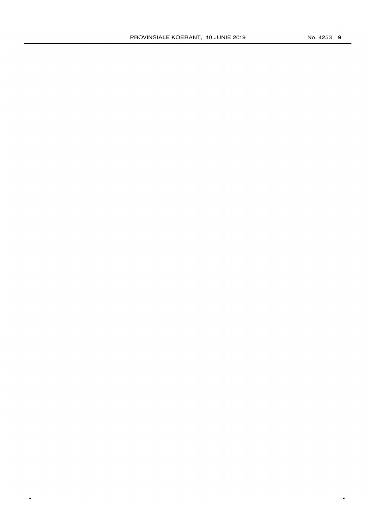$\hat{\mathbf{z}}$ 

 $\pmb{s}$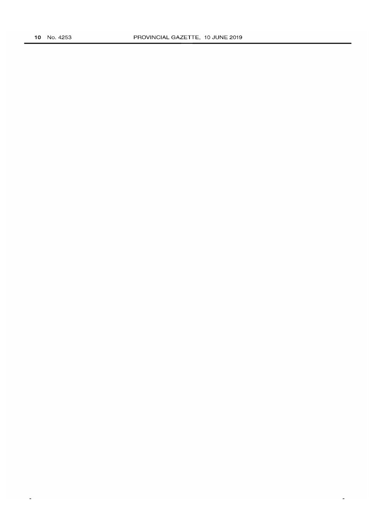$\Box$ 

 $\overline{\phantom{a}}$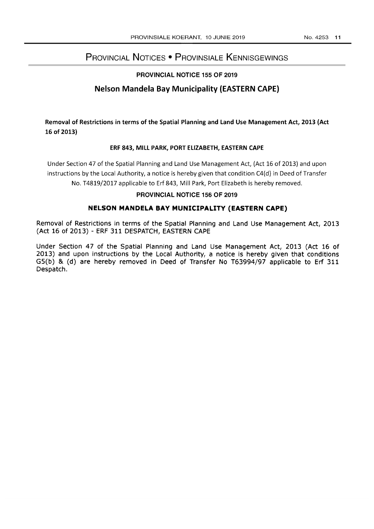# PROVINCIAL NOTICES • PROVINSIALE KENNISGEWINGS

### PROVINCIAL NOTICE 155 OF 2019

### Nelson Mandela Bay Municipality (EASTERN CAPE)

Removal of Restrictions in terms of the Spatial Planning and Land Use Management Act, 2013 (Act 16 of 2013)

#### ERF 843, MILL PARK, PORT ELIZABETH, EASTERN CAPE

Under Section 47 of the Spatial Planning and Land Use Management Act, (Act 16 of 2013) and upon instructions by the Local Authority, a notice is hereby given that condition C4(d) in Deed of Transfer No. T4819/2017 applicable to Erf 843, Mill Park, Port Elizabeth is hereby removed.

#### PROVINCIAL NOTICE 156 OF 2019

#### NELSON MANDELA BAY MUNICIPALITY (EASTERN CAPE)

Removal of Restrictions in terms of the Spatial Planning and Land Use Management Act, 2013 (Act 16 of 2013) - ERF 311 DESPATCH, EASTERN CAPE

Under Section 47 of the Spatial Planning and Land Use Management Act, 2013 (Act 16 of 2013) and upon instructions by the Local Authority, a notice is hereby given that conditions G5(b) & (d) are hereby removed in Deed of Transfer No T63994/97 applicable to Erf 311 Despatch.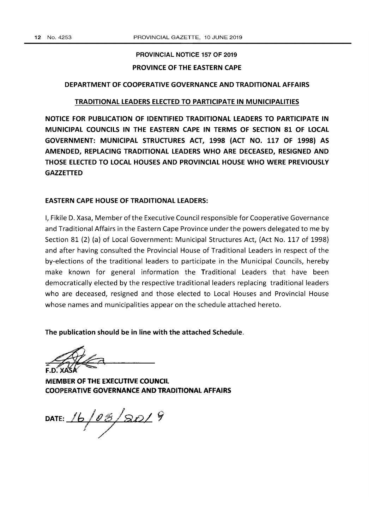# PROVINCIAL NOTICE 157 OF 2019 PROVINCE OF THE EASTERN CAPE

#### DEPARTMENT OF COOPERATIVE GOVERNANCE AND TRADITIONAL AFFAIRS

#### TRADITIONAL LEADERS ELECTED TO PARTICIPATE IN MUNICIPALITIES

NOTICE FOR PUBLICATION OF IDENTIFIED TRADITIONAL LEADERS TO PARTICIPATE IN MUNICIPAL COUNCILS IN THE EASTERN CAPE IN TERMS OF SECTION 81 OF LOCAL GOVERNMENT: MUNICIPAL STRUCTURES ACT, 1998 (ACT NO. 117 OF 1998) AS AMENDED, REPLACING TRADITIONAL LEADERS WHO ARE DECEASED, RESIGNED AND THOSE ELECTED TO LOCAL HOUSES AND PROVINCIAL HOUSE WHO WERE PREVIOUSLY **GAZZETTED** 

### EASTERN CAPE HOUSE OF TRADITIONAL LEADERS:

I, Fikile D. Xasa, Member of the Executive Council responsible for Cooperative Governance and Traditional Affairs in the Eastern Cape Province under the powers delegated to me by Section 81 (2) (a) of Local Government: Municipal Structures Act, (Act No. 117 of 1998) and after having consulted the Provincial House of Traditional Leaders in respect of the by-elections of the traditional leaders to participate in the Municipal Councils, hereby make known for general information the Traditional Leaders that have been democratically elected by the respective traditional leaders replacing traditional leaders who are deceased, resigned and those elected to Local Houses and Provincial House whose names and municipalities appear on the schedule attached hereto.

The publication should be in line with the attached Schedule.

 $F.D'XAS$ 

MEMBER OF THE EXECUTIVE COUNCIL COOPERATIVE GOVERNANCE AND TRADITIONAL AFFAIRS

DATE: *I b* 1~3i.o!.. *9* I '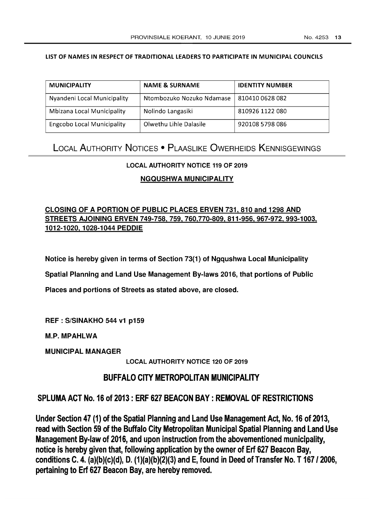### LIST OF NAMES IN RESPECT OF TRADITIONAL LEADERS TO PARTICIPATE IN MUNICIPAL COUNCILS

| <b>MUNICIPALITY</b>               | <b>NAME &amp; SURNAME</b> | <b>IDENTITY NUMBER</b> |
|-----------------------------------|---------------------------|------------------------|
| Nyandeni Local Municipality       | Ntombozuko Nozuko Ndamase | 810410 0628 082        |
| Mbizana Local Municipality        | Nolindo Langasiki         | 810926 1122 080        |
| <b>Engcobo Local Municipality</b> | Olwethu Lihle Dalasile    | 920108 5798 086        |

# LOCAL AUTHORITY NOTICES • PLAASLIKE OWERHEIDS KENNISGEWINGS

### LOCAL AUTHORITY NOTICE 119 OF 2019

### NGQUSHWA MUNICIPALITY

### CLOSING OF A PORTION OF PUBLIC PLACES ERVEN 731, 810 and 1298 AND STREETS AJOINING ERVEN 749-758, 759, 760,770-809, 811-956, 967-972, 993-1003, 1012-1020, 1028-1044 PEDDIE

Notice is hereby given in terms of Section 73(1) of Ngqushwa Local Municipality

Spatial Planning and Land Use Management By-laws 2016, that portions of Public

Places and portions of Streets as stated above, are closed.

REF: S/SINAKHO 544 v1 p159

M.P. MPAHLWA

MUNICIPAL MANAGER

LOCAL AUTHORITY NOTICE 120 OF 2019

## BUFFALO CITY METROPOLITAN MUNICIPALITY

## SPLUMA ACT No. 16 of 2013: ERF 627 BEACON BAY: REMOVAL OF RESTRICTIONS

Under Section 47 (1) of the Spatial Planning and Land Use Management Act, No. 16 of 2013, read with Section 59 of the Buffalo City Metropolitan Municipal Spatial Planning and Land Use Management By-law of 2016, and upon instruction from the abovementioned municipality, notice is hereby given that, following application by the owner of Erf 627 Beacon Bay, conditions C. 4. (a)(b)(c)(d), D. (1 )(a)(b){2)(3) and E, found in Deed of Transfer No. T 16712006, pertaining to Erf 627 Beacon Bay, are hereby removed.